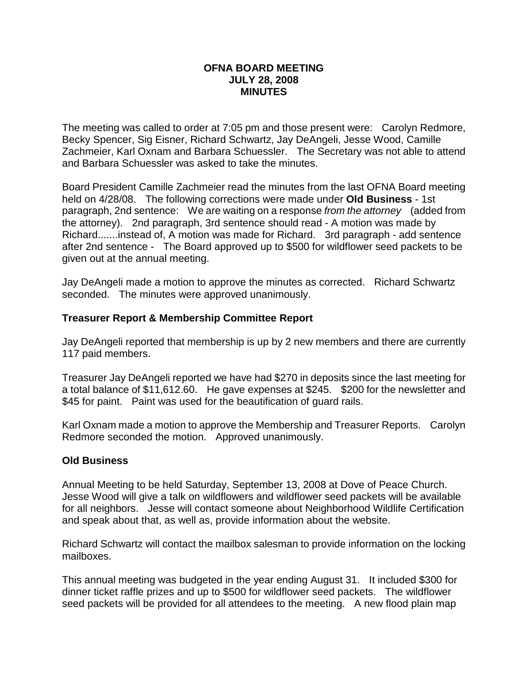#### **OFNA BOARD MEETING JULY 28, 2008 MINUTES**

The meeting was called to order at 7:05 pm and those present were: Carolyn Redmore, Becky Spencer, Sig Eisner, Richard Schwartz, Jay DeAngeli, Jesse Wood, Camille Zachmeier, Karl Oxnam and Barbara Schuessler. The Secretary was not able to attend and Barbara Schuessler was asked to take the minutes.

Board President Camille Zachmeier read the minutes from the last OFNA Board meeting held on 4/28/08. The following corrections were made under **Old Business** - 1st paragraph, 2nd sentence: We are waiting on a response *from the attorney* (added from the attorney). 2nd paragraph, 3rd sentence should read - A motion was made by Richard.......instead of, A motion was made for Richard. 3rd paragraph - add sentence after 2nd sentence - The Board approved up to \$500 for wildflower seed packets to be given out at the annual meeting.

Jay DeAngeli made a motion to approve the minutes as corrected. Richard Schwartz seconded. The minutes were approved unanimously.

## **Treasurer Report & Membership Committee Report**

Jay DeAngeli reported that membership is up by 2 new members and there are currently 117 paid members.

Treasurer Jay DeAngeli reported we have had \$270 in deposits since the last meeting for a total balance of \$11,612.60. He gave expenses at \$245. \$200 for the newsletter and \$45 for paint. Paint was used for the beautification of quard rails.

Karl Oxnam made a motion to approve the Membership and Treasurer Reports. Carolyn Redmore seconded the motion. Approved unanimously.

## **Old Business**

Annual Meeting to be held Saturday, September 13, 2008 at Dove of Peace Church. Jesse Wood will give a talk on wildflowers and wildflower seed packets will be available for all neighbors. Jesse will contact someone about Neighborhood Wildlife Certification and speak about that, as well as, provide information about the website.

Richard Schwartz will contact the mailbox salesman to provide information on the locking mailboxes.

This annual meeting was budgeted in the year ending August 31. It included \$300 for dinner ticket raffle prizes and up to \$500 for wildflower seed packets. The wildflower seed packets will be provided for all attendees to the meeting. A new flood plain map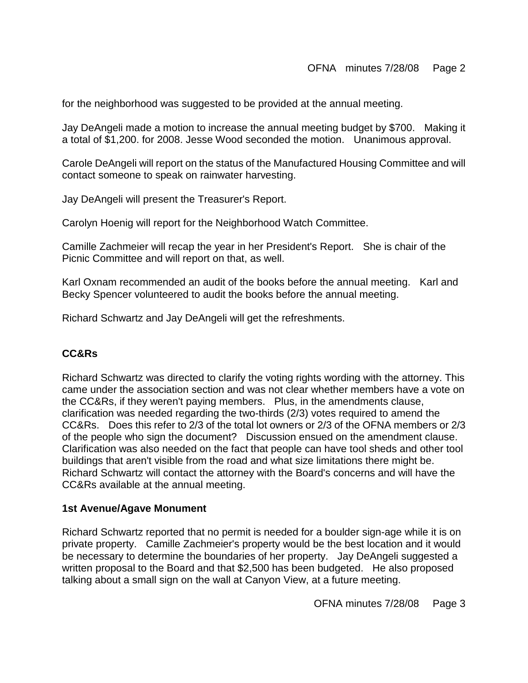for the neighborhood was suggested to be provided at the annual meeting.

Jay DeAngeli made a motion to increase the annual meeting budget by \$700. Making it a total of \$1,200. for 2008. Jesse Wood seconded the motion. Unanimous approval.

Carole DeAngeli will report on the status of the Manufactured Housing Committee and will contact someone to speak on rainwater harvesting.

Jay DeAngeli will present the Treasurer's Report.

Carolyn Hoenig will report for the Neighborhood Watch Committee.

Camille Zachmeier will recap the year in her President's Report. She is chair of the Picnic Committee and will report on that, as well.

Karl Oxnam recommended an audit of the books before the annual meeting. Karl and Becky Spencer volunteered to audit the books before the annual meeting.

Richard Schwartz and Jay DeAngeli will get the refreshments.

## **CC&Rs**

Richard Schwartz was directed to clarify the voting rights wording with the attorney. This came under the association section and was not clear whether members have a vote on the CC&Rs, if they weren't paying members. Plus, in the amendments clause, clarification was needed regarding the two-thirds (2/3) votes required to amend the CC&Rs. Does this refer to 2/3 of the total lot owners or 2/3 of the OFNA members or 2/3 of the people who sign the document? Discussion ensued on the amendment clause. Clarification was also needed on the fact that people can have tool sheds and other tool buildings that aren't visible from the road and what size limitations there might be. Richard Schwartz will contact the attorney with the Board's concerns and will have the CC&Rs available at the annual meeting.

## **1st Avenue/Agave Monument**

Richard Schwartz reported that no permit is needed for a boulder sign-age while it is on private property. Camille Zachmeier's property would be the best location and it would be necessary to determine the boundaries of her property. Jay DeAngeli suggested a written proposal to the Board and that \$2,500 has been budgeted. He also proposed talking about a small sign on the wall at Canyon View, at a future meeting.